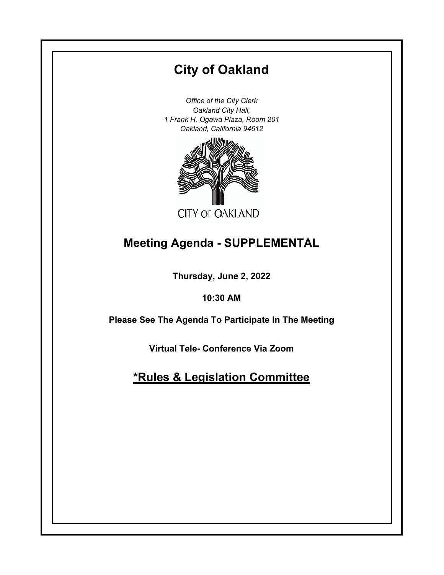# **City of Oakland**

*Office of the City Clerk Oakland City Hall, 1 Frank H. Ogawa Plaza, Room 201 Oakland, California 94612*



# **Meeting Agenda - SUPPLEMENTAL**

**Thursday, June 2, 2022**

**10:30 AM**

**Please See The Agenda To Participate In The Meeting**

**Virtual Tele- Conference Via Zoom**

**\*Rules & Legislation Committee**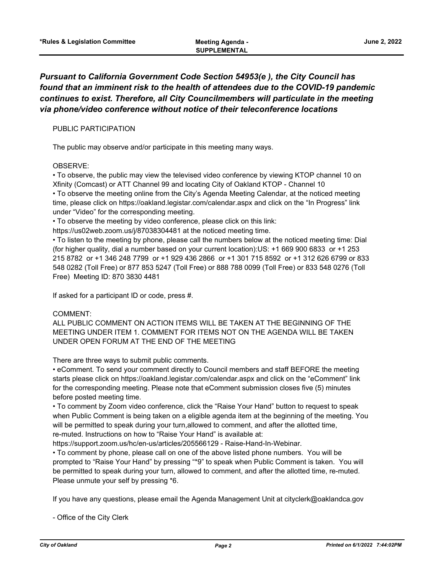# *Pursuant to California Government Code Section 54953(e ), the City Council has found that an imminent risk to the health of attendees due to the COVID-19 pandemic continues to exist. Therefore, all City Councilmembers will particulate in the meeting via phone/video conference without notice of their teleconference locations*

# PUBLIC PARTICIPATION

The public may observe and/or participate in this meeting many ways.

# OBSERVE:

• To observe, the public may view the televised video conference by viewing KTOP channel 10 on Xfinity (Comcast) or ATT Channel 99 and locating City of Oakland KTOP - Channel 10 • To observe the meeting online from the City's Agenda Meeting Calendar, at the noticed meeting time, please click on https://oakland.legistar.com/calendar.aspx and click on the "In Progress" link under "Video" for the corresponding meeting.

• To observe the meeting by video conference, please click on this link:

https://us02web.zoom.us/j/87038304481 at the noticed meeting time.

• To listen to the meeting by phone, please call the numbers below at the noticed meeting time: Dial (for higher quality, dial a number based on your current location):US: +1 669 900 6833 or +1 253 215 8782 or +1 346 248 7799 or +1 929 436 2866 or +1 301 715 8592 or +1 312 626 6799 or 833 548 0282 (Toll Free) or 877 853 5247 (Toll Free) or 888 788 0099 (Toll Free) or 833 548 0276 (Toll Free) Meeting ID: 870 3830 4481

If asked for a participant ID or code, press #.

# COMMENT:

ALL PUBLIC COMMENT ON ACTION ITEMS WILL BE TAKEN AT THE BEGINNING OF THE MEETING UNDER ITEM 1. COMMENT FOR ITEMS NOT ON THE AGENDA WILL BE TAKEN UNDER OPEN FORUM AT THE END OF THE MEETING

There are three ways to submit public comments.

• eComment. To send your comment directly to Council members and staff BEFORE the meeting starts please click on https://oakland.legistar.com/calendar.aspx and click on the "eComment" link for the corresponding meeting. Please note that eComment submission closes five (5) minutes before posted meeting time.

• To comment by Zoom video conference, click the "Raise Your Hand" button to request to speak when Public Comment is being taken on a eligible agenda item at the beginning of the meeting. You will be permitted to speak during your turn,allowed to comment, and after the allotted time, re-muted. Instructions on how to "Raise Your Hand" is available at:

https://support.zoom.us/hc/en-us/articles/205566129 - Raise-Hand-In-Webinar.

• To comment by phone, please call on one of the above listed phone numbers. You will be prompted to "Raise Your Hand" by pressing "\*9" to speak when Public Comment is taken. You will be permitted to speak during your turn, allowed to comment, and after the allotted time, re-muted. Please unmute your self by pressing \*6.

If you have any questions, please email the Agenda Management Unit at cityclerk@oaklandca.gov

- Office of the City Clerk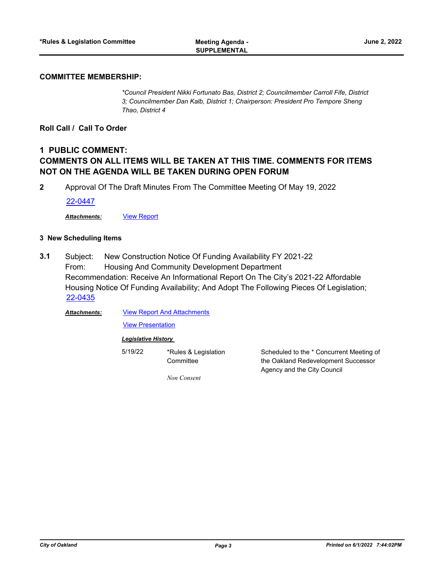### **COMMITTEE MEMBERSHIP:**

*\*Council President Nikki Fortunato Bas, District 2; Councilmember Carroll Fife, District 3; Councilmember Dan Kalb, District 1; Chairperson: President Pro Tempore Sheng Thao, District 4*

**Roll Call / Call To Order**

# **1 PUBLIC COMMENT: COMMENTS ON ALL ITEMS WILL BE TAKEN AT THIS TIME. COMMENTS FOR ITEMS NOT ON THE AGENDA WILL BE TAKEN DURING OPEN FORUM**

**2** Approval Of The Draft Minutes From The Committee Meeting Of May 19, 2022

[22-0447](http://oakland.legistar.com/gateway.aspx?m=l&id=/matter.aspx?key=33368)

*Attachments:* [View Report](http://oakland.legistar.com/gateway.aspx?M=F&ID=aadae042-7089-4df7-b690-09fb5dd48dcd.pdf)

### **3 New Scheduling Items**

Subject: New Construction Notice Of Funding Availability FY 2021-22 From: Housing And Community Development Department Recommendation: Receive An Informational Report On The City's 2021-22 Affordable Housing Notice Of Funding Availability; And Adopt The Following Pieces Of Legislation; **3.1** [22-0435](http://oakland.legistar.com/gateway.aspx?m=l&id=/matter.aspx?key=33356)

[View Report And Attachments](http://oakland.legistar.com/gateway.aspx?M=F&ID=5651de0c-96e5-4e9b-a9bf-d0cd40ea1218.pdf) **[View Presentation](http://oakland.legistar.com/gateway.aspx?M=F&ID=e601b501-367c-4cb8-ab5b-d14bc54bfa4a.pptx)** *Attachments: Legislative History*  5/19/22 \*Rules & Legislation **Committee** Scheduled to the \* Concurrent Meeting of the Oakland Redevelopment Successor Agency and the City Council

*Non Consent*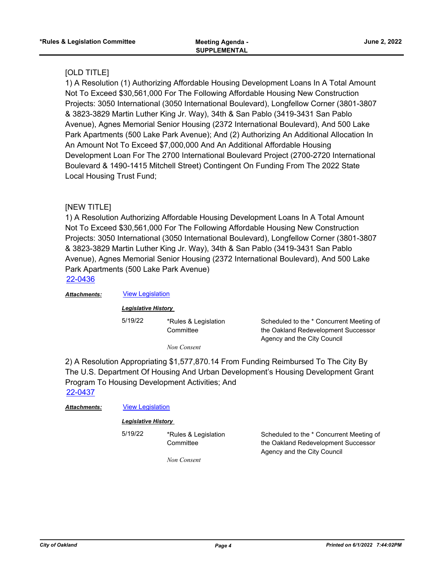# [OLD TITLE]

1) A Resolution (1) Authorizing Affordable Housing Development Loans In A Total Amount Not To Exceed \$30,561,000 For The Following Affordable Housing New Construction Projects: 3050 International (3050 International Boulevard), Longfellow Corner (3801-3807 & 3823-3829 Martin Luther King Jr. Way), 34th & San Pablo (3419-3431 San Pablo Avenue), Agnes Memorial Senior Housing (2372 International Boulevard), And 500 Lake Park Apartments (500 Lake Park Avenue); And (2) Authorizing An Additional Allocation In An Amount Not To Exceed \$7,000,000 And An Additional Affordable Housing Development Loan For The 2700 International Boulevard Project (2700-2720 International Boulevard & 1490-1415 Mitchell Street) Contingent On Funding From The 2022 State Local Housing Trust Fund;

# [NEW TITLE]

1) A Resolution Authorizing Affordable Housing Development Loans In A Total Amount Not To Exceed \$30,561,000 For The Following Affordable Housing New Construction Projects: 3050 International (3050 International Boulevard), Longfellow Corner (3801-3807 & 3823-3829 Martin Luther King Jr. Way), 34th & San Pablo (3419-3431 San Pablo Avenue), Agnes Memorial Senior Housing (2372 International Boulevard), And 500 Lake Park Apartments (500 Lake Park Avenue)

[22-0436](http://oakland.legistar.com/gateway.aspx?m=l&id=/matter.aspx?key=33357)

*Attachments:* [View Legislation](http://oakland.legistar.com/gateway.aspx?M=F&ID=1341f698-014a-4b30-a649-9df73581d966.pdf)

# *Legislative History*

5/19/22 \*Rules & Legislation **Committee** 

Scheduled to the \* Concurrent Meeting of the Oakland Redevelopment Successor Agency and the City Council

*Non Consent*

2) A Resolution Appropriating \$1,577,870.14 From Funding Reimbursed To The City By The U.S. Department Of Housing And Urban Development's Housing Development Grant Program To Housing Development Activities; And [22-0437](http://oakland.legistar.com/gateway.aspx?m=l&id=/matter.aspx?key=33358)

| Attachments: | <b>View Legislation</b> |
|--------------|-------------------------|
|              |                         |

### *Legislative History*

| 5/19/22 | *Rules & Legislation | Scheduled to the * Concurrent Meeting of |
|---------|----------------------|------------------------------------------|
|         | Committee            | the Oakland Redevelopment Successor      |
|         |                      | Agency and the City Council              |

*Non Consent*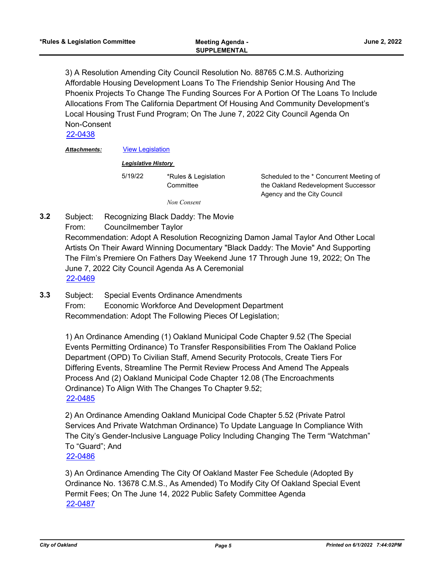3) A Resolution Amending City Council Resolution No. 88765 C.M.S. Authorizing Affordable Housing Development Loans To The Friendship Senior Housing And The Phoenix Projects To Change The Funding Sources For A Portion Of The Loans To Include Allocations From The California Department Of Housing And Community Development's Local Housing Trust Fund Program; On The June 7, 2022 City Council Agenda On Non-Consent

[22-0438](http://oakland.legistar.com/gateway.aspx?m=l&id=/matter.aspx?key=33359)

*Attachments:* [View Legislation](http://oakland.legistar.com/gateway.aspx?M=F&ID=9c9c985e-e7fb-4e82-8475-0ef6fae3d573.pdf)

*Legislative History* 

5/19/22 \*Rules & Legislation **Committee** *Non Consent*

Scheduled to the \* Concurrent Meeting of the Oakland Redevelopment Successor Agency and the City Council

Subject: Recognizing Black Daddy: The Movie From: Councilmember Taylor **3.2**

Recommendation: Adopt A Resolution Recognizing Damon Jamal Taylor And Other Local Artists On Their Award Winning Documentary "Black Daddy: The Movie" And Supporting The Film's Premiere On Fathers Day Weekend June 17 Through June 19, 2022; On The June 7, 2022 City Council Agenda As A Ceremonial [22-0469](http://oakland.legistar.com/gateway.aspx?m=l&id=/matter.aspx?key=33390)

Subject: Special Events Ordinance Amendments From: Economic Workforce And Development Department Recommendation: Adopt The Following Pieces Of Legislation; **3.3**

> 1) An Ordinance Amending (1) Oakland Municipal Code Chapter 9.52 (The Special Events Permitting Ordinance) To Transfer Responsibilities From The Oakland Police Department (OPD) To Civilian Staff, Amend Security Protocols, Create Tiers For Differing Events, Streamline The Permit Review Process And Amend The Appeals Process And (2) Oakland Municipal Code Chapter 12.08 (The Encroachments Ordinance) To Align With The Changes To Chapter 9.52; [22-0485](http://oakland.legistar.com/gateway.aspx?m=l&id=/matter.aspx?key=33405)

2) An Ordinance Amending Oakland Municipal Code Chapter 5.52 (Private Patrol Services And Private Watchman Ordinance) To Update Language In Compliance With The City's Gender-Inclusive Language Policy Including Changing The Term "Watchman" To "Guard"; And [22-0486](http://oakland.legistar.com/gateway.aspx?m=l&id=/matter.aspx?key=33406)

3) An Ordinance Amending The City Of Oakland Master Fee Schedule (Adopted By Ordinance No. 13678 C.M.S., As Amended) To Modify City Of Oakland Special Event Permit Fees; On The June 14, 2022 Public Safety Committee Agenda [22-0487](http://oakland.legistar.com/gateway.aspx?m=l&id=/matter.aspx?key=33407)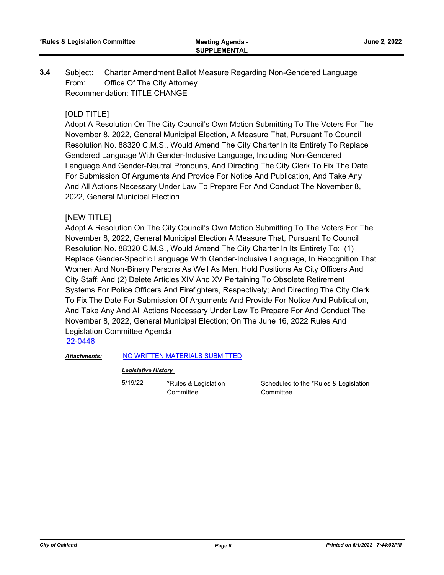Subject: Charter Amendment Ballot Measure Regarding Non-Gendered Language From: Office Of The City Attorney Recommendation: TITLE CHANGE **3.4**

# [OLD TITLE]

Adopt A Resolution On The City Council's Own Motion Submitting To The Voters For The November 8, 2022, General Municipal Election, A Measure That, Pursuant To Council Resolution No. 88320 C.M.S., Would Amend The City Charter In Its Entirety To Replace Gendered Language With Gender-Inclusive Language, Including Non-Gendered Language And Gender-Neutral Pronouns, And Directing The City Clerk To Fix The Date For Submission Of Arguments And Provide For Notice And Publication, And Take Any And All Actions Necessary Under Law To Prepare For And Conduct The November 8, 2022, General Municipal Election

# [NEW TITLE]

Adopt A Resolution On The City Council's Own Motion Submitting To The Voters For The November 8, 2022, General Municipal Election A Measure That, Pursuant To Council Resolution No. 88320 C.M.S., Would Amend The City Charter In Its Entirety To: (1) Replace Gender-Specific Language With Gender-Inclusive Language, In Recognition That Women And Non-Binary Persons As Well As Men, Hold Positions As City Officers And City Staff; And (2) Delete Articles XIV And XV Pertaining To Obsolete Retirement Systems For Police Officers And Firefighters, Respectively; And Directing The City Clerk To Fix The Date For Submission Of Arguments And Provide For Notice And Publication, And Take Any And All Actions Necessary Under Law To Prepare For And Conduct The November 8, 2022, General Municipal Election; On The June 16, 2022 Rules And Legislation Committee Agenda

[22-0446](http://oakland.legistar.com/gateway.aspx?m=l&id=/matter.aspx?key=33367)

### *Attachments:* [NO WRITTEN MATERIALS SUBMITTED](http://oakland.legistar.com/gateway.aspx?M=F&ID=5a425c34-e30a-455f-b1f9-bf54ef1949c9.pdf)

# *Legislative History*

5/19/22 \*Rules & Legislation **Committee** 

Scheduled to the \*Rules & Legislation **Committee**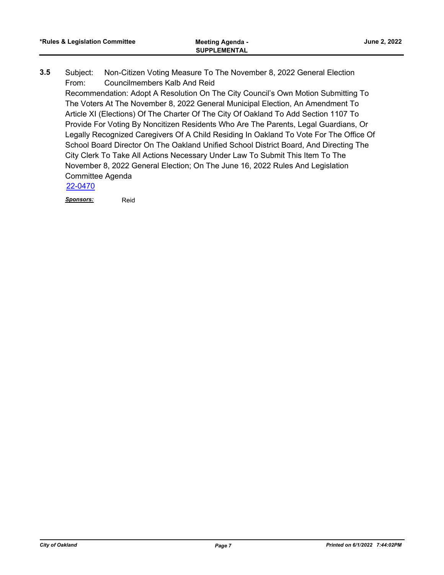Subject: Non-Citizen Voting Measure To The November 8, 2022 General Election From: Councilmembers Kalb And Reid Recommendation: Adopt A Resolution On The City Council's Own Motion Submitting To The Voters At The November 8, 2022 General Municipal Election, An Amendment To Article XI (Elections) Of The Charter Of The City Of Oakland To Add Section 1107 To Provide For Voting By Noncitizen Residents Who Are The Parents, Legal Guardians, Or Legally Recognized Caregivers Of A Child Residing In Oakland To Vote For The Office Of School Board Director On The Oakland Unified School District Board, And Directing The City Clerk To Take All Actions Necessary Under Law To Submit This Item To The November 8, 2022 General Election; On The June 16, 2022 Rules And Legislation Committee Agenda **3.5**

[22-0470](http://oakland.legistar.com/gateway.aspx?m=l&id=/matter.aspx?key=33391)

*Sponsors:* Reid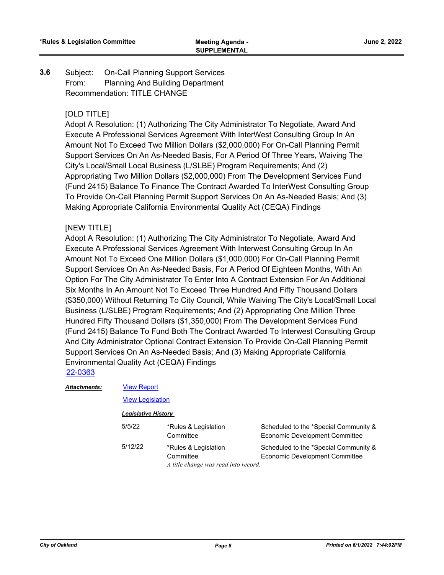Subject: On-Call Planning Support Services From: Planning And Building Department Recommendation: TITLE CHANGE **3.6**

# [OLD TITLE]

Adopt A Resolution: (1) Authorizing The City Administrator To Negotiate, Award And Execute A Professional Services Agreement With InterWest Consulting Group In An Amount Not To Exceed Two Million Dollars (\$2,000,000) For On-Call Planning Permit Support Services On An As-Needed Basis, For A Period Of Three Years, Waiving The City's Local/Small Local Business (L/SLBE) Program Requirements; And (2) Appropriating Two Million Dollars (\$2,000,000) From The Development Services Fund (Fund 2415) Balance To Finance The Contract Awarded To InterWest Consulting Group To Provide On-Call Planning Permit Support Services On An As-Needed Basis; And (3) Making Appropriate California Environmental Quality Act (CEQA) Findings

# [NEW TITLE]

Adopt A Resolution: (1) Authorizing The City Administrator To Negotiate, Award And Execute A Professional Services Agreement With Interwest Consulting Group In An Amount Not To Exceed One Million Dollars (\$1,000,000) For On-Call Planning Permit Support Services On An As-Needed Basis, For A Period Of Eighteen Months, With An Option For The City Administrator To Enter Into A Contract Extension For An Additional Six Months In An Amount Not To Exceed Three Hundred And Fifty Thousand Dollars (\$350,000) Without Returning To City Council, While Waiving The City's Local/Small Local Business (L/SLBE) Program Requirements; And (2) Appropriating One Million Three Hundred Fifty Thousand Dollars (\$1,350,000) From The Development Services Fund (Fund 2415) Balance To Fund Both The Contract Awarded To Interwest Consulting Group And City Administrator Optional Contract Extension To Provide On-Call Planning Permit Support Services On An As-Needed Basis; And (3) Making Appropriate California Environmental Quality Act (CEQA) Findings [22-0363](http://oakland.legistar.com/gateway.aspx?m=l&id=/matter.aspx?key=33284)

*Attachments:*

# [View Report](http://oakland.legistar.com/gateway.aspx?M=F&ID=fdd4f5ac-00fe-416a-9a56-a48579417b27.pdf)

**[View Legislation](http://oakland.legistar.com/gateway.aspx?M=F&ID=d9bbee05-26af-4ba7-8293-addecb27b115.pdf)** 

| 5/5/22  | *Rules & Legislation<br>Committee    | Scheduled to the *Special Community &<br>Economic Development Committee |
|---------|--------------------------------------|-------------------------------------------------------------------------|
| 5/12/22 | *Rules & Legislation<br>Committee    | Scheduled to the *Special Community &<br>Economic Development Committee |
|         | A title change was read into record. |                                                                         |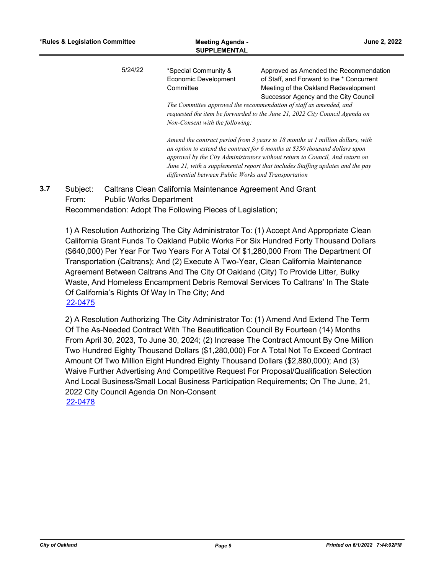| *Rules & Legislation Committee | <b>Meeting Agenda -</b><br><b>SUPPLEMENTAL</b>       | <b>June 2, 2022</b>                                                                                                                                            |
|--------------------------------|------------------------------------------------------|----------------------------------------------------------------------------------------------------------------------------------------------------------------|
| 5/24/22                        | *Special Community &                                 | Approved as Amended the Recommendation                                                                                                                         |
|                                | Economic Development                                 | of Staff, and Forward to the * Concurrent                                                                                                                      |
|                                | Committee                                            | Meeting of the Oakland Redevelopment                                                                                                                           |
|                                |                                                      | Successor Agency and the City Council                                                                                                                          |
|                                |                                                      | The Committee approved the recommendation of staff as amended, and                                                                                             |
|                                |                                                      | requested the item be forwarded to the June 21, 2022 City Council Agenda on                                                                                    |
|                                | Non-Consent with the following:                      |                                                                                                                                                                |
|                                |                                                      | Amend the contract period from 3 years to 18 months at 1 million dollars, with                                                                                 |
|                                |                                                      | an option to extend the contract for $6$ months at \$350 thousand dollars upon<br>approval by the City Administrators without return to Council, And return on |
|                                |                                                      | June 21, with a supplemental report that includes Staffing updates and the pay                                                                                 |
|                                | differential between Public Works and Transportation |                                                                                                                                                                |
|                                |                                                      |                                                                                                                                                                |

Subject: Caltrans Clean California Maintenance Agreement And Grant From: Public Works Department Recommendation: Adopt The Following Pieces of Legislation; **3.7**

1) A Resolution Authorizing The City Administrator To: (1) Accept And Appropriate Clean California Grant Funds To Oakland Public Works For Six Hundred Forty Thousand Dollars (\$640,000) Per Year For Two Years For A Total Of \$1,280,000 From The Department Of Transportation (Caltrans); And (2) Execute A Two-Year, Clean California Maintenance Agreement Between Caltrans And The City Of Oakland (City) To Provide Litter, Bulky Waste, And Homeless Encampment Debris Removal Services To Caltrans' In The State Of California's Rights Of Way In The City; And [22-0475](http://oakland.legistar.com/gateway.aspx?m=l&id=/matter.aspx?key=33395)

2) A Resolution Authorizing The City Administrator To: (1) Amend And Extend The Term Of The As-Needed Contract With The Beautification Council By Fourteen (14) Months From April 30, 2023, To June 30, 2024; (2) Increase The Contract Amount By One Million Two Hundred Eighty Thousand Dollars (\$1,280,000) For A Total Not To Exceed Contract Amount Of Two Million Eight Hundred Eighty Thousand Dollars (\$2,880,000); And (3) Waive Further Advertising And Competitive Request For Proposal/Qualification Selection And Local Business/Small Local Business Participation Requirements; On The June, 21, 2022 City Council Agenda On Non-Consent [22-0478](http://oakland.legistar.com/gateway.aspx?m=l&id=/matter.aspx?key=33398)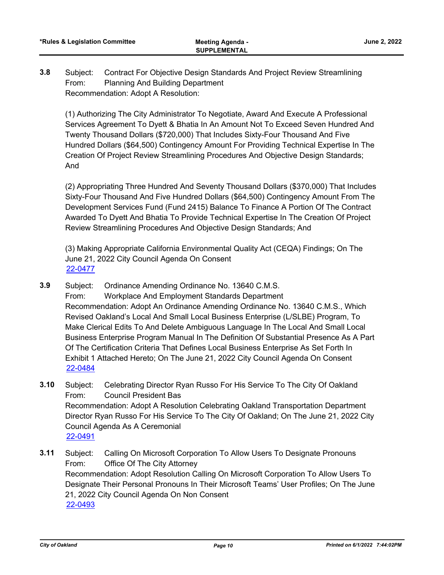Subject: Contract For Objective Design Standards And Project Review Streamlining From: Planning And Building Department Recommendation: Adopt A Resolution: **3.8**

(1) Authorizing The City Administrator To Negotiate, Award And Execute A Professional Services Agreement To Dyett & Bhatia In An Amount Not To Exceed Seven Hundred And Twenty Thousand Dollars (\$720,000) That Includes Sixty-Four Thousand And Five Hundred Dollars (\$64,500) Contingency Amount For Providing Technical Expertise In The Creation Of Project Review Streamlining Procedures And Objective Design Standards; And

(2) Appropriating Three Hundred And Seventy Thousand Dollars (\$370,000) That Includes Sixty-Four Thousand And Five Hundred Dollars (\$64,500) Contingency Amount From The Development Services Fund (Fund 2415) Balance To Finance A Portion Of The Contract Awarded To Dyett And Bhatia To Provide Technical Expertise In The Creation Of Project Review Streamlining Procedures And Objective Design Standards; And

(3) Making Appropriate California Environmental Quality Act (CEQA) Findings; On The June 21, 2022 City Council Agenda On Consent [22-0477](http://oakland.legistar.com/gateway.aspx?m=l&id=/matter.aspx?key=33397)

- Subject: Ordinance Amending Ordinance No. 13640 C.M.S. From: Workplace And Employment Standards Department Recommendation: Adopt An Ordinance Amending Ordinance No. 13640 C.M.S., Which Revised Oakland's Local And Small Local Business Enterprise (L/SLBE) Program, To Make Clerical Edits To And Delete Ambiguous Language In The Local And Small Local Business Enterprise Program Manual In The Definition Of Substantial Presence As A Part Of The Certification Criteria That Defines Local Business Enterprise As Set Forth In Exhibit 1 Attached Hereto; On The June 21, 2022 City Council Agenda On Consent **3.9** [22-0484](http://oakland.legistar.com/gateway.aspx?m=l&id=/matter.aspx?key=33404)
- Subject: Celebrating Director Ryan Russo For His Service To The City Of Oakland From: Council President Bas Recommendation: Adopt A Resolution Celebrating Oakland Transportation Department Director Ryan Russo For His Service To The City Of Oakland; On The June 21, 2022 City Council Agenda As A Ceremonial **3.10** [22-0491](http://oakland.legistar.com/gateway.aspx?m=l&id=/matter.aspx?key=33411)
- Subject: Calling On Microsoft Corporation To Allow Users To Designate Pronouns From: Office Of The City Attorney Recommendation: Adopt Resolution Calling On Microsoft Corporation To Allow Users To Designate Their Personal Pronouns In Their Microsoft Teams' User Profiles; On The June 21, 2022 City Council Agenda On Non Consent **3.11** [22-0493](http://oakland.legistar.com/gateway.aspx?m=l&id=/matter.aspx?key=33413)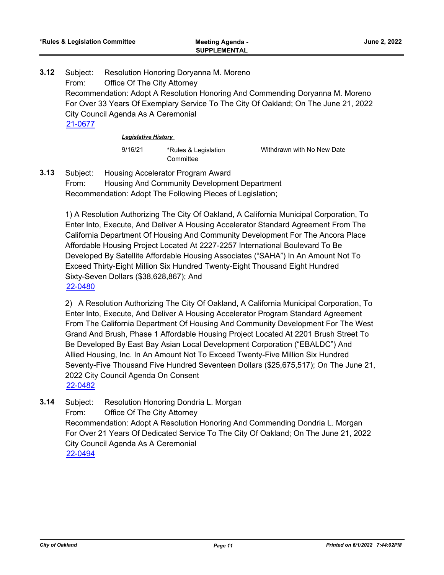Subject: Resolution Honoring Doryanna M. Moreno From: Office Of The City Attorney Recommendation: Adopt A Resolution Honoring And Commending Doryanna M. Moreno For Over 33 Years Of Exemplary Service To The City Of Oakland; On The June 21, 2022 City Council Agenda As A Ceremonial **3.12** [21-0677](http://oakland.legistar.com/gateway.aspx?m=l&id=/matter.aspx?key=32602)

*Legislative History* 

9/16/21 \*Rules & Legislation **Committee** 

Withdrawn with No New Date

Subject: Housing Accelerator Program Award From: Housing And Community Development Department Recommendation: Adopt The Following Pieces of Legislation; **3.13**

> 1) A Resolution Authorizing The City Of Oakland, A California Municipal Corporation, To Enter Into, Execute, And Deliver A Housing Accelerator Standard Agreement From The California Department Of Housing And Community Development For The Ancora Place Affordable Housing Project Located At 2227-2257 International Boulevard To Be Developed By Satellite Affordable Housing Associates ("SAHA") In An Amount Not To Exceed Thirty-Eight Million Six Hundred Twenty-Eight Thousand Eight Hundred Sixty-Seven Dollars (\$38,628,867); And [22-0480](http://oakland.legistar.com/gateway.aspx?m=l&id=/matter.aspx?key=33400)

2) A Resolution Authorizing The City Of Oakland, A California Municipal Corporation, To Enter Into, Execute, And Deliver A Housing Accelerator Program Standard Agreement From The California Department Of Housing And Community Development For The West Grand And Brush, Phase 1 Affordable Housing Project Located At 2201 Brush Street To Be Developed By East Bay Asian Local Development Corporation ("EBALDC") And Allied Housing, Inc. In An Amount Not To Exceed Twenty-Five Million Six Hundred Seventy-Five Thousand Five Hundred Seventeen Dollars (\$25,675,517); On The June 21, 2022 City Council Agenda On Consent [22-0482](http://oakland.legistar.com/gateway.aspx?m=l&id=/matter.aspx?key=33402)

Subject: Resolution Honoring Dondria L. Morgan From: Office Of The City Attorney Recommendation: Adopt A Resolution Honoring And Commending Dondria L. Morgan For Over 21 Years Of Dedicated Service To The City Of Oakland; On The June 21, 2022 City Council Agenda As A Ceremonial **3.14** [22-0494](http://oakland.legistar.com/gateway.aspx?m=l&id=/matter.aspx?key=33414)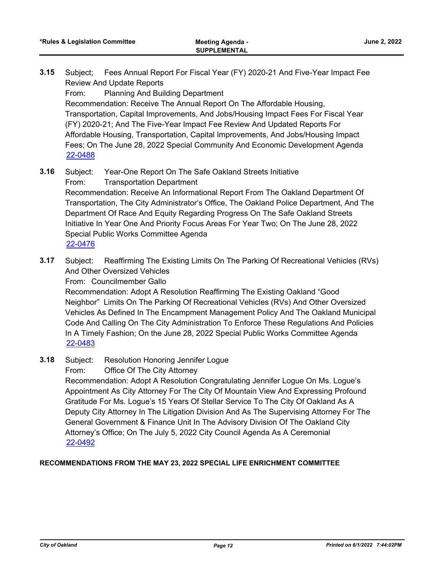Subject; Fees Annual Report For Fiscal Year (FY) 2020-21 And Five-Year Impact Fee Review And Update Reports **3.15**

From: Planning And Building Department

Recommendation: Receive The Annual Report On The Affordable Housing, Transportation, Capital Improvements, And Jobs/Housing Impact Fees For Fiscal Year (FY) 2020-21; And The Five-Year Impact Fee Review And Updated Reports For Affordable Housing, Transportation, Capital Improvements, And Jobs/Housing Impact Fees; On The June 28, 2022 Special Community And Economic Development Agenda [22-0488](http://oakland.legistar.com/gateway.aspx?m=l&id=/matter.aspx?key=33408)

- Subject: Year-One Report On The Safe Oakland Streets Initiative From: Transportation Department Recommendation: Receive An Informational Report From The Oakland Department Of Transportation, The City Administrator's Office, The Oakland Police Department, And The Department Of Race And Equity Regarding Progress On The Safe Oakland Streets Initiative In Year One And Priority Focus Areas For Year Two; On The June 28, 2022 Special Public Works Committee Agenda **3.16** [22-0476](http://oakland.legistar.com/gateway.aspx?m=l&id=/matter.aspx?key=33396)
- Subject: Reaffirming The Existing Limits On The Parking Of Recreational Vehicles (RVs) And Other Oversized Vehicles **3.17**

From: Councilmember Gallo

Recommendation: Adopt A Resolution Reaffirming The Existing Oakland "Good Neighbor" Limits On The Parking Of Recreational Vehicles (RVs) And Other Oversized Vehicles As Defined In The Encampment Management Policy And The Oakland Municipal Code And Calling On The City Administration To Enforce These Regulations And Policies In A Timely Fashion; On the June 28, 2022 Special Public Works Committee Agenda [22-0483](http://oakland.legistar.com/gateway.aspx?m=l&id=/matter.aspx?key=33403)

Subject: Resolution Honoring Jennifer Logue **3.18**

From: Office Of The City Attorney

Recommendation: Adopt A Resolution Congratulating Jennifer Logue On Ms. Logue's Appointment As City Attorney For The City Of Mountain View And Expressing Profound Gratitude For Ms. Logue's 15 Years Of Stellar Service To The City Of Oakland As A Deputy City Attorney In The Litigation Division And As The Supervising Attorney For The General Government & Finance Unit In The Advisory Division Of The Oakland City Attorney's Office; On The July 5, 2022 City Council Agenda As A Ceremonial [22-0492](http://oakland.legistar.com/gateway.aspx?m=l&id=/matter.aspx?key=33412)

# **RECOMMENDATIONS FROM THE MAY 23, 2022 SPECIAL LIFE ENRICHMENT COMMITTEE**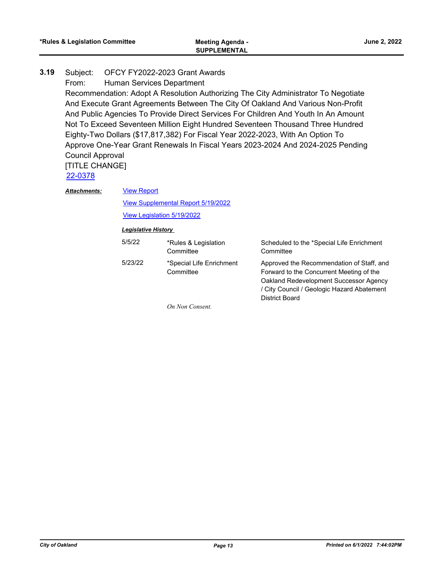#### Subject: OFCY FY2022-2023 Grant Awards **3.19**

From: Human Services Department

Recommendation: Adopt A Resolution Authorizing The City Administrator To Negotiate And Execute Grant Agreements Between The City Of Oakland And Various Non-Profit And Public Agencies To Provide Direct Services For Children And Youth In An Amount Not To Exceed Seventeen Million Eight Hundred Seventeen Thousand Three Hundred Eighty-Two Dollars (\$17,817,382) For Fiscal Year 2022-2023, With An Option To Approve One-Year Grant Renewals In Fiscal Years 2023-2024 And 2024-2025 Pending Council Approval [TITLE CHANGE]

[22-0378](http://oakland.legistar.com/gateway.aspx?m=l&id=/matter.aspx?key=33299)

[View Report](http://oakland.legistar.com/gateway.aspx?M=F&ID=9ff4777f-7a27-45b6-a281-8f259d9bbd30.pdf) *Attachments:*

[View Supplemental Report 5/19/2022](http://oakland.legistar.com/gateway.aspx?M=F&ID=70b55ab1-982f-453e-b567-155090a6f5ab.pdf)

[View Legislation 5/19/2022](http://oakland.legistar.com/gateway.aspx?M=F&ID=bd421f21-676e-4d00-bb9e-696070e12fdc.pdf)

| 5/5/22  | *Rules & Legislation<br>Committee     | Scheduled to the *Special Life Enrichment<br>Committee                                                                                                                                                 |
|---------|---------------------------------------|--------------------------------------------------------------------------------------------------------------------------------------------------------------------------------------------------------|
| 5/23/22 | *Special Life Enrichment<br>Committee | Approved the Recommendation of Staff, and<br>Forward to the Concurrent Meeting of the<br>Oakland Redevelopment Successor Agency<br>/ City Council / Geologic Hazard Abatement<br><b>District Board</b> |
|         | On Non Consent.                       |                                                                                                                                                                                                        |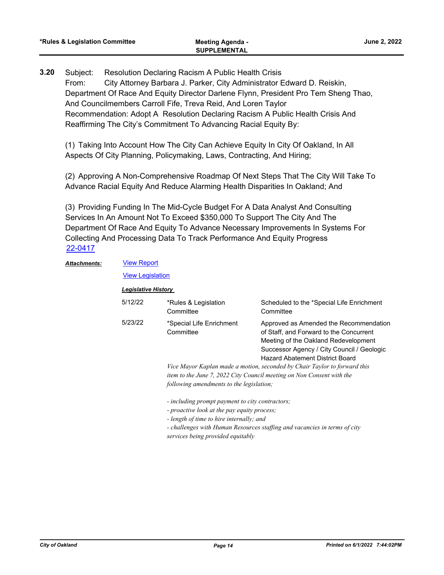Subject: Resolution Declaring Racism A Public Health Crisis From: City Attorney Barbara J. Parker, City Administrator Edward D. Reiskin, Department Of Race And Equity Director Darlene Flynn, President Pro Tem Sheng Thao, And Councilmembers Carroll Fife, Treva Reid, And Loren Taylor Recommendation: Adopt A Resolution Declaring Racism A Public Health Crisis And Reaffirming The City's Commitment To Advancing Racial Equity By: **3.20**

(1) Taking Into Account How The City Can Achieve Equity In City Of Oakland, In All Aspects Of City Planning, Policymaking, Laws, Contracting, And Hiring;

(2) Approving A Non-Comprehensive Roadmap Of Next Steps That The City Will Take To Advance Racial Equity And Reduce Alarming Health Disparities In Oakland; And

(3) Providing Funding In The Mid-Cycle Budget For A Data Analyst And Consulting Services In An Amount Not To Exceed \$350,000 To Support The City And The Department Of Race And Equity To Advance Necessary Improvements In Systems For Collecting And Processing Data To Track Performance And Equity Progress [22-0417](http://oakland.legistar.com/gateway.aspx?m=l&id=/matter.aspx?key=33338)

#### [View Report](http://oakland.legistar.com/gateway.aspx?M=F&ID=cc180a06-b33e-4cb1-b0f6-99a796c8437b.pdf) *Attachments:*

[View Legislation](http://oakland.legistar.com/gateway.aspx?M=F&ID=a34bc286-2d62-4e58-b1ac-9eb975e0ac95.PDF)

# *Legislative History*

| 5/12/22 | *Rules & Legislation<br>Committee                                                                                                          | Scheduled to the *Special Life Enrichment<br>Committee                                                                                                                                                     |
|---------|--------------------------------------------------------------------------------------------------------------------------------------------|------------------------------------------------------------------------------------------------------------------------------------------------------------------------------------------------------------|
| 5/23/22 | *Special Life Enrichment<br>Committee                                                                                                      | Approved as Amended the Recommendation<br>of Staff, and Forward to the Concurrent<br>Meeting of the Oakland Redevelopment<br>Successor Agency / City Council / Geologic<br>Hazard Abatement District Board |
|         | following amendments to the legislation;                                                                                                   | Vice Mayor Kaplan made a motion, seconded by Chair Taylor to forward this<br>item to the June 7, 2022 City Council meeting on Non Consent with the                                                         |
|         | - including prompt payment to city contractors;<br>- proactive look at the pay equity process;<br>- length of time to hire internally; and | $1\quad11\quad11\quad11\quad1$                                                                                                                                                                             |

*- challenges with Human Resources staffing and vacancies in terms of city services being provided equitably*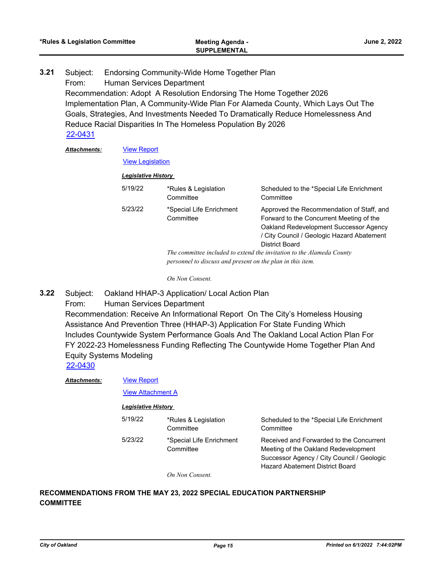Subject: Endorsing Community-Wide Home Together Plan From: Human Services Department Recommendation: Adopt A Resolution Endorsing The Home Together 2026 Implementation Plan, A Community-Wide Plan For Alameda County, Which Lays Out The Goals, Strategies, And Investments Needed To Dramatically Reduce Homelessness And Reduce Racial Disparities In The Homeless Population By 2026 **3.21** [22-0431](http://oakland.legistar.com/gateway.aspx?m=l&id=/matter.aspx?key=33352)

#### [View Report](http://oakland.legistar.com/gateway.aspx?M=F&ID=0ee0cfb9-fc1e-4c9f-9887-31c60c5ab94c.pdf) *Attachments:*

[View Legislation](http://oakland.legistar.com/gateway.aspx?M=F&ID=3bf4ae45-79ba-4adc-b321-c7b4a1c32525.PDF)

# *Legislative History*

| 5/19/22 | *Rules & Legislation<br>Committee                          | Scheduled to the *Special Life Enrichment<br>Committee                                                                                                                                          |
|---------|------------------------------------------------------------|-------------------------------------------------------------------------------------------------------------------------------------------------------------------------------------------------|
| 5/23/22 | *Special Life Enrichment<br>Committee                      | Approved the Recommendation of Staff, and<br>Forward to the Concurrent Meeting of the<br>Oakland Redevelopment Successor Agency<br>/ City Council / Geologic Hazard Abatement<br>District Board |
|         | personnel to discuss and present on the plan in this item. | The committee included to extend the invitation to the Alameda County                                                                                                                           |

*On Non Consent.*

- Subject: Oakland HHAP-3 Application/ Local Action Plan **3.22**
	- From: Human Services Department

Recommendation: Receive An Informational Report On The City's Homeless Housing Assistance And Prevention Three (HHAP-3) Application For State Funding Which Includes Countywide System Performance Goals And The Oakland Local Action Plan For FY 2022-23 Homelessness Funding Reflecting The Countywide Home Together Plan And Equity Systems Modeling

[22-0430](http://oakland.legistar.com/gateway.aspx?m=l&id=/matter.aspx?key=33351)

| <b>Attachments:</b> |         | <b>View Report</b>                                     |                                                                                                                                                                   |  |  |
|---------------------|---------|--------------------------------------------------------|-------------------------------------------------------------------------------------------------------------------------------------------------------------------|--|--|
|                     |         | <b>View Attachment A</b><br><b>Legislative History</b> |                                                                                                                                                                   |  |  |
|                     |         |                                                        |                                                                                                                                                                   |  |  |
|                     | 5/19/22 | *Rules & Legislation<br>Committee                      | Scheduled to the *Special Life Enrichment<br>Committee                                                                                                            |  |  |
|                     | 5/23/22 | *Special Life Enrichment<br>Committee                  | Received and Forwarded to the Concurrent<br>Meeting of the Oakland Redevelopment<br>Successor Agency / City Council / Geologic<br>Hazard Abatement District Board |  |  |
|                     |         | On Non Consent.                                        |                                                                                                                                                                   |  |  |

# **RECOMMENDATIONS FROM THE MAY 23, 2022 SPECIAL EDUCATION PARTNERSHIP COMMITTEE**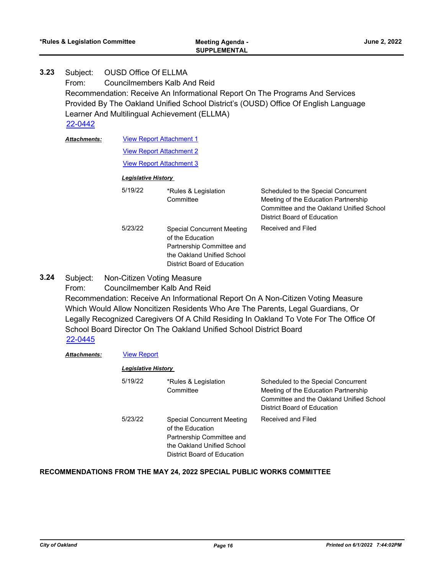Subject: OUSD Office Of ELLMA From: Councilmembers Kalb And Reid Recommendation: Receive An Informational Report On The Programs And Services Provided By The Oakland Unified School District's (OUSD) Office Of English Language Learner And Multilingual Achievement (ELLMA) **3.23** [22-0442](http://oakland.legistar.com/gateway.aspx?m=l&id=/matter.aspx?key=33363)

| <b>Attachments:</b> | <b>View Report Attachment 1</b><br><b>View Report Attachment 2</b><br><b>View Report Attachment 3</b> |                                                                                                                                                 |                                                                                                                                                        |  |
|---------------------|-------------------------------------------------------------------------------------------------------|-------------------------------------------------------------------------------------------------------------------------------------------------|--------------------------------------------------------------------------------------------------------------------------------------------------------|--|
|                     | <b>Legislative History</b>                                                                            |                                                                                                                                                 |                                                                                                                                                        |  |
|                     | 5/19/22                                                                                               | *Rules & Legislation<br>Committee                                                                                                               | Scheduled to the Special Concurrent<br>Meeting of the Education Partnership<br>Committee and the Oakland Unified School<br>District Board of Education |  |
|                     | 5/23/22                                                                                               | <b>Special Concurrent Meeting</b><br>of the Education<br>Partnership Committee and<br>the Oakland Unified School<br>District Board of Education | Received and Filed                                                                                                                                     |  |

- Subject: Non-Citizen Voting Measure **3.24**
	- From: Councilmember Kalb And Reid

Recommendation: Receive An Informational Report On A Non-Citizen Voting Measure Which Would Allow Noncitizen Residents Who Are The Parents, Legal Guardians, Or Legally Recognized Caregivers Of A Child Residing In Oakland To Vote For The Office Of School Board Director On The Oakland Unified School District Board [22-0445](http://oakland.legistar.com/gateway.aspx?m=l&id=/matter.aspx?key=33366)

# *Attachments:* [View Report](http://oakland.legistar.com/gateway.aspx?M=F&ID=def584de-6df3-4299-ad03-6d639cdf8c10.pdf) *Legislative History*  5/19/22 \*Rules & Legislation **Committee** Scheduled to the Special Concurrent Meeting of the Education Partnership Committee and the Oakland Unified School District Board of Education 5/23/22 Special Concurrent Meeting of the Education Partnership Committee and the Oakland Unified School District Board of Education Received and Filed

# **RECOMMENDATIONS FROM THE MAY 24, 2022 SPECIAL PUBLIC WORKS COMMITTEE**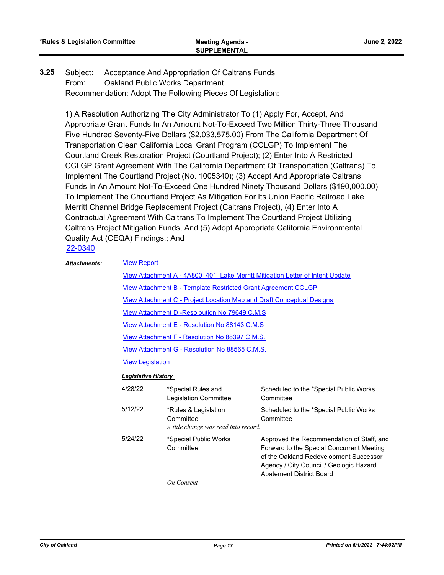### Subject: Acceptance And Appropriation Of Caltrans Funds From: Oakland Public Works Department Recommendation: Adopt The Following Pieces Of Legislation: **3.25**

1) A Resolution Authorizing The City Administrator To (1) Apply For, Accept, And Appropriate Grant Funds In An Amount Not-To-Exceed Two Million Thirty-Three Thousand Five Hundred Seventy-Five Dollars (\$2,033,575.00) From The California Department Of Transportation Clean California Local Grant Program (CCLGP) To Implement The Courtland Creek Restoration Project (Courtland Project); (2) Enter Into A Restricted CCLGP Grant Agreement With The California Department Of Transportation (Caltrans) To Implement The Courtland Project (No. 1005340); (3) Accept And Appropriate Caltrans Funds In An Amount Not-To-Exceed One Hundred Ninety Thousand Dollars (\$190,000.00) To Implement The Chourtland Project As Mitigation For Its Union Pacific Railroad Lake Merritt Channel Bridge Replacement Project (Caltrans Project), (4) Enter Into A Contractual Agreement With Caltrans To Implement The Courtland Project Utilizing Caltrans Project Mitigation Funds, And (5) Adopt Appropriate California Environmental Quality Act (CEQA) Findings.; And [22-0340](http://oakland.legistar.com/gateway.aspx?m=l&id=/matter.aspx?key=33261)

#### [View Report](http://oakland.legistar.com/gateway.aspx?M=F&ID=9fbe55e0-9d1c-456f-ad19-634ea29e1ad1.pdf) *Attachments:*

View Attachment A - 4A800\_401\_Lake Merritt Mitigation Letter of Intent Update [View Attachment B - Template Restricted Grant Agreement CCLGP](http://oakland.legistar.com/gateway.aspx?M=F&ID=2902f5b9-d6a2-4585-aae4-51c2057e8e55.pdf) [View Attachment C - Project Location Map and Draft Conceptual Designs](http://oakland.legistar.com/gateway.aspx?M=F&ID=e038e868-ac0d-43c2-b366-9d020ca2411a.pdf) [View Attachment D -Resoloution No 79649 C.M.S](http://oakland.legistar.com/gateway.aspx?M=F&ID=fda50720-29af-46c6-ab51-70d28acef8ca.pdf) [View Attachment E - Resolution No 88143 C.M.S](http://oakland.legistar.com/gateway.aspx?M=F&ID=7cf976e8-bd36-4d00-ba45-7868cfd0d058.pdf) [View Attachment F - Resolution No 88397 C.M.S.](http://oakland.legistar.com/gateway.aspx?M=F&ID=cabb5a74-f3e1-461f-abbc-3d2dc7ab301b.pdf) [View Attachment G - Resolution No 88565 C.M.S.](http://oakland.legistar.com/gateway.aspx?M=F&ID=03983745-efe2-441b-acea-dc0a658d91f7.pdf) [View Legislation](http://oakland.legistar.com/gateway.aspx?M=F&ID=5832459b-aa6c-4704-a5dc-608bcda16251.pdf)

| 4/28/22 | *Special Rules and<br>Legislation Committee                               | Scheduled to the *Special Public Works<br>Committee                                                                                                                                                     |
|---------|---------------------------------------------------------------------------|---------------------------------------------------------------------------------------------------------------------------------------------------------------------------------------------------------|
| 5/12/22 | *Rules & Legislation<br>Committee<br>A title change was read into record. | Scheduled to the *Special Public Works<br>Committee                                                                                                                                                     |
| 5/24/22 | *Special Public Works<br>Committee                                        | Approved the Recommendation of Staff, and<br>Forward to the Special Concurrent Meeting<br>of the Oakland Redevelopment Successor<br>Agency / City Council / Geologic Hazard<br>Abatement District Board |
|         | On Consent                                                                |                                                                                                                                                                                                         |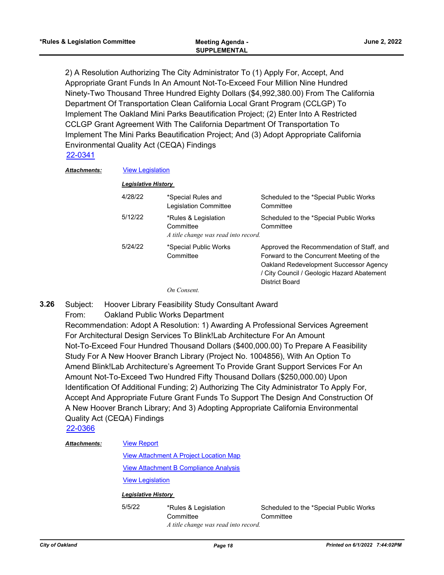2) A Resolution Authorizing The City Administrator To (1) Apply For, Accept, And Appropriate Grant Funds In An Amount Not-To-Exceed Four Million Nine Hundred Ninety-Two Thousand Three Hundred Eighty Dollars (\$4,992,380.00) From The California Department Of Transportation Clean California Local Grant Program (CCLGP) To Implement The Oakland Mini Parks Beautification Project; (2) Enter Into A Restricted CCLGP Grant Agreement With The California Department Of Transportation To Implement The Mini Parks Beautification Project; And (3) Adopt Appropriate California Environmental Quality Act (CEQA) Findings [22-0341](http://oakland.legistar.com/gateway.aspx?m=l&id=/matter.aspx?key=33262)

### *Attachments:* [View Legislation](http://oakland.legistar.com/gateway.aspx?M=F&ID=e3355ded-7aa8-4fd7-aaae-f650ad428def.pdf)

| <b>Legislative History</b> |                                                                           |                                                                                                                                                                                                 |
|----------------------------|---------------------------------------------------------------------------|-------------------------------------------------------------------------------------------------------------------------------------------------------------------------------------------------|
| 4/28/22                    | *Special Rules and<br>Legislation Committee                               | Scheduled to the *Special Public Works<br>Committee                                                                                                                                             |
| 5/12/22                    | *Rules & Legislation<br>Committee<br>A title change was read into record. | Scheduled to the *Special Public Works<br>Committee                                                                                                                                             |
| 5/24/22                    | *Special Public Works<br>Committee                                        | Approved the Recommendation of Staff, and<br>Forward to the Concurrent Meeting of the<br>Oakland Redevelopment Successor Agency<br>/ City Council / Geologic Hazard Abatement<br>District Board |
|                            | On Consent.                                                               |                                                                                                                                                                                                 |

- Subject: Hoover Library Feasibility Study Consultant Award **3.26**
- From: Oakland Public Works Department

Recommendation: Adopt A Resolution: 1) Awarding A Professional Services Agreement For Architectural Design Services To Blink!Lab Architecture For An Amount Not-To-Exceed Four Hundred Thousand Dollars (\$400,000.00) To Prepare A Feasibility Study For A New Hoover Branch Library (Project No. 1004856), With An Option To Amend Blink!Lab Architecture's Agreement To Provide Grant Support Services For An Amount Not-To-Exceed Two Hundred Fifty Thousand Dollars (\$250,000.00) Upon Identification Of Additional Funding; 2) Authorizing The City Administrator To Apply For, Accept And Appropriate Future Grant Funds To Support The Design And Construction Of A New Hoover Branch Library; And 3) Adopting Appropriate California Environmental Quality Act (CEQA) Findings

[22-0366](http://oakland.legistar.com/gateway.aspx?m=l&id=/matter.aspx?key=33287)

| <b>Attachments:</b> | <b>View Report</b>                           |                                                                           |                                                     |
|---------------------|----------------------------------------------|---------------------------------------------------------------------------|-----------------------------------------------------|
|                     |                                              | View Attachment A Project Location Map                                    |                                                     |
|                     | <b>View Attachment B Compliance Analysis</b> |                                                                           |                                                     |
|                     | <b>View Legislation</b>                      |                                                                           |                                                     |
|                     | <b>Legislative History</b>                   |                                                                           |                                                     |
|                     | 5/5/22                                       | *Rules & Legislation<br>Committee<br>A title change was read into record. | Scheduled to the *Special Public Works<br>Committee |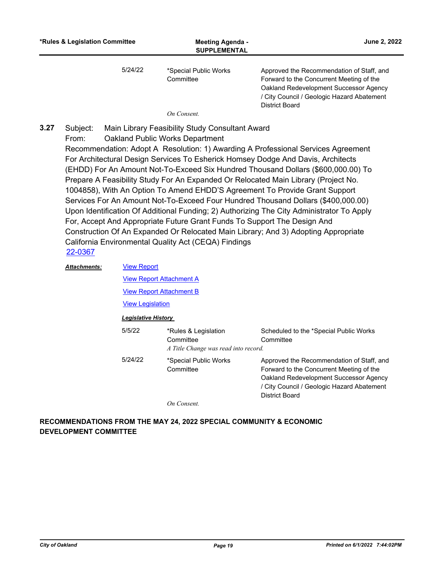| *Rules & Legislation Committee | <b>Meeting Agenda -</b><br><b>SUPPLEMENTAL</b> | June 2, 2022                                                                                                                                                                                    |
|--------------------------------|------------------------------------------------|-------------------------------------------------------------------------------------------------------------------------------------------------------------------------------------------------|
| 5/24/22                        | *Special Public Works<br>Committee             | Approved the Recommendation of Staff, and<br>Forward to the Concurrent Meeting of the<br>Oakland Redevelopment Successor Agency<br>/ City Council / Geologic Hazard Abatement<br>District Board |
|                                | On Consent.                                    |                                                                                                                                                                                                 |

Subject: Main Library Feasibility Study Consultant Award From: Oakland Public Works Department Recommendation: Adopt A Resolution: 1) Awarding A Professional Services Agreement For Architectural Design Services To Esherick Homsey Dodge And Davis, Architects (EHDD) For An Amount Not-To-Exceed Six Hundred Thousand Dollars (\$600,000.00) To Prepare A Feasibility Study For An Expanded Or Relocated Main Library (Project No. 1004858), With An Option To Amend EHDD'S Agreement To Provide Grant Support Services For An Amount Not-To-Exceed Four Hundred Thousand Dollars (\$400,000.00) Upon Identification Of Additional Funding; 2) Authorizing The City Administrator To Apply For, Accept And Appropriate Future Grant Funds To Support The Design And Construction Of An Expanded Or Relocated Main Library; And 3) Adopting Appropriate California Environmental Quality Act (CEQA) Findings **3.27** [22-0367](http://oakland.legistar.com/gateway.aspx?m=l&id=/matter.aspx?key=33288)

| <b>Attachments:</b> | <b>View Report</b>              |                                                                           |                                                                                                                                                                                                 |
|---------------------|---------------------------------|---------------------------------------------------------------------------|-------------------------------------------------------------------------------------------------------------------------------------------------------------------------------------------------|
|                     |                                 | <b>View Report Attachment A</b>                                           |                                                                                                                                                                                                 |
|                     | <b>View Report Attachment B</b> |                                                                           |                                                                                                                                                                                                 |
|                     | <b>View Legislation</b>         |                                                                           |                                                                                                                                                                                                 |
|                     | <b>Legislative History</b>      |                                                                           |                                                                                                                                                                                                 |
|                     | 5/5/22                          | *Rules & Legislation<br>Committee<br>A Title Change was read into record. | Scheduled to the *Special Public Works<br>Committee                                                                                                                                             |
|                     | 5/24/22                         | *Special Public Works<br>Committee                                        | Approved the Recommendation of Staff, and<br>Forward to the Concurrent Meeting of the<br>Oakland Redevelopment Successor Agency<br>/ City Council / Geologic Hazard Abatement<br>District Board |
|                     |                                 | On Consent.                                                               |                                                                                                                                                                                                 |

**RECOMMENDATIONS FROM THE MAY 24, 2022 SPECIAL COMMUNITY & ECONOMIC DEVELOPMENT COMMITTEE**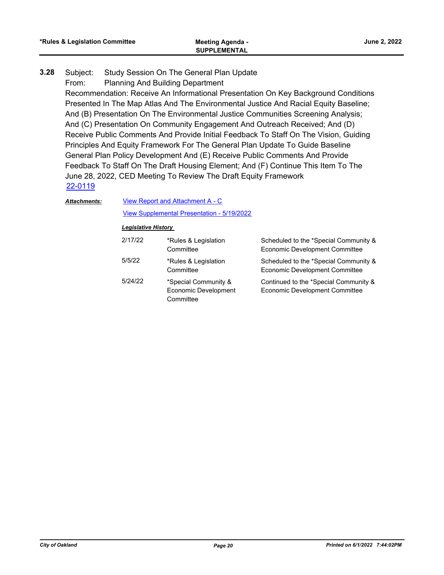#### Subject: Study Session On The General Plan Update **3.28**

From: Planning And Building Department

Recommendation: Receive An Informational Presentation On Key Background Conditions Presented In The Map Atlas And The Environmental Justice And Racial Equity Baseline; And (B) Presentation On The Environmental Justice Communities Screening Analysis; And (C) Presentation On Community Engagement And Outreach Received; And (D) Receive Public Comments And Provide Initial Feedback To Staff On The Vision, Guiding Principles And Equity Framework For The General Plan Update To Guide Baseline General Plan Policy Development And (E) Receive Public Comments And Provide Feedback To Staff On The Draft Housing Element; And (F) Continue This Item To The June 28, 2022, CED Meeting To Review The Draft Equity Framework [22-0119](http://oakland.legistar.com/gateway.aspx?m=l&id=/matter.aspx?key=33040)

# *Attachments:*

[View Report and Attachment A - C](http://oakland.legistar.com/gateway.aspx?M=F&ID=3e55ecab-13c5-4983-9131-1803da023caa.pdf)

[View Supplemental Presentation - 5/19/2022](http://oakland.legistar.com/gateway.aspx?M=F&ID=7a4727e5-03f3-436c-aec9-32655f52bde3.pdf)

| 2/17/22 | *Rules & Legislation<br>Committee                         | Scheduled to the *Special Community &<br>Economic Development Committee        |
|---------|-----------------------------------------------------------|--------------------------------------------------------------------------------|
| 5/5/22  | *Rules & Legislation<br>Committee                         | Scheduled to the *Special Community &<br><b>Economic Development Committee</b> |
| 5/24/22 | *Special Community &<br>Economic Development<br>Committee | Continued to the *Special Community &<br><b>Economic Development Committee</b> |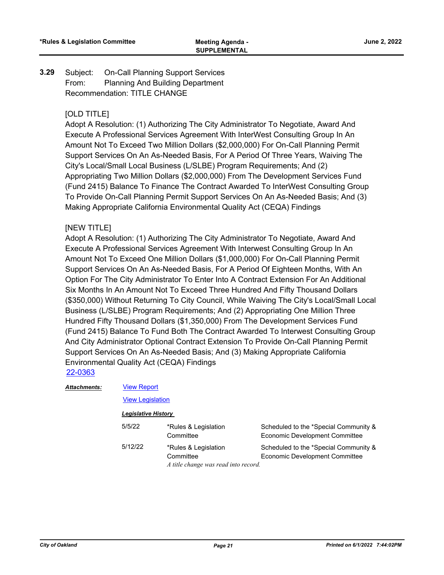Subject: On-Call Planning Support Services From: Planning And Building Department Recommendation: TITLE CHANGE **3.29**

# [OLD TITLE]

Adopt A Resolution: (1) Authorizing The City Administrator To Negotiate, Award And Execute A Professional Services Agreement With InterWest Consulting Group In An Amount Not To Exceed Two Million Dollars (\$2,000,000) For On-Call Planning Permit Support Services On An As-Needed Basis, For A Period Of Three Years, Waiving The City's Local/Small Local Business (L/SLBE) Program Requirements; And (2) Appropriating Two Million Dollars (\$2,000,000) From The Development Services Fund (Fund 2415) Balance To Finance The Contract Awarded To InterWest Consulting Group To Provide On-Call Planning Permit Support Services On An As-Needed Basis; And (3) Making Appropriate California Environmental Quality Act (CEQA) Findings

# [NEW TITLE]

Adopt A Resolution: (1) Authorizing The City Administrator To Negotiate, Award And Execute A Professional Services Agreement With Interwest Consulting Group In An Amount Not To Exceed One Million Dollars (\$1,000,000) For On-Call Planning Permit Support Services On An As-Needed Basis, For A Period Of Eighteen Months, With An Option For The City Administrator To Enter Into A Contract Extension For An Additional Six Months In An Amount Not To Exceed Three Hundred And Fifty Thousand Dollars (\$350,000) Without Returning To City Council, While Waiving The City's Local/Small Local Business (L/SLBE) Program Requirements; And (2) Appropriating One Million Three Hundred Fifty Thousand Dollars (\$1,350,000) From The Development Services Fund (Fund 2415) Balance To Fund Both The Contract Awarded To Interwest Consulting Group And City Administrator Optional Contract Extension To Provide On-Call Planning Permit Support Services On An As-Needed Basis; And (3) Making Appropriate California Environmental Quality Act (CEQA) Findings [22-0363](http://oakland.legistar.com/gateway.aspx?m=l&id=/matter.aspx?key=33284)

*Attachments:*

# [View Report](http://oakland.legistar.com/gateway.aspx?M=F&ID=fdd4f5ac-00fe-416a-9a56-a48579417b27.pdf)

**[View Legislation](http://oakland.legistar.com/gateway.aspx?M=F&ID=d9bbee05-26af-4ba7-8293-addecb27b115.pdf)** 

| 5/5/22  | *Rules & Legislation<br>Committee    | Scheduled to the *Special Community &<br>Economic Development Committee |
|---------|--------------------------------------|-------------------------------------------------------------------------|
| 5/12/22 | *Rules & Legislation<br>Committee    | Scheduled to the *Special Community &<br>Economic Development Committee |
|         | A title change was read into record. |                                                                         |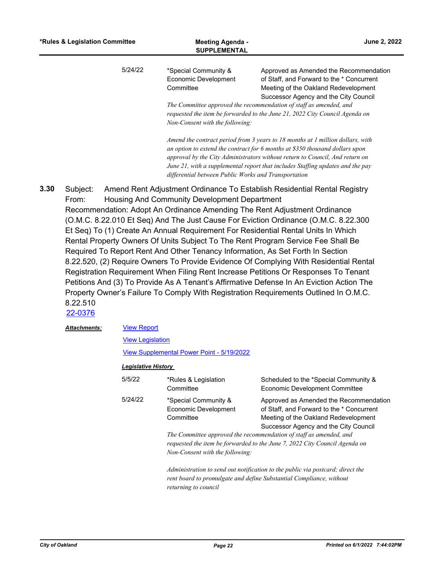| *Rules & Legislation Committee | <b>Meeting Agenda -</b><br><b>SUPPLEMENTAL</b> | June 2, 2022                                                                   |
|--------------------------------|------------------------------------------------|--------------------------------------------------------------------------------|
| 5/24/22                        | *Special Community &                           | Approved as Amended the Recommendation                                         |
|                                | Economic Development                           | of Staff, and Forward to the * Concurrent                                      |
|                                | Committee                                      | Meeting of the Oakland Redevelopment                                           |
|                                |                                                | Successor Agency and the City Council                                          |
|                                |                                                | The Committee approved the recommendation of staff as amended, and             |
|                                |                                                | requested the item be forwarded to the June 21, 2022 City Council Agenda on    |
|                                | Non-Consent with the following:                |                                                                                |
|                                |                                                | Amend the contract period from 3 years to 18 months at 1 million dollars, with |
|                                |                                                | an option to extend the contract for $6$ months at \$350 thousand dollars upon |
|                                |                                                | approval by the City Administrators without return to Council, And return on   |
|                                |                                                | June 21, with a supplemental report that includes Staffing updates and the pay |

*differential between Public Works and Transportation*

Subject: Amend Rent Adjustment Ordinance To Establish Residential Rental Registry From: Housing And Community Development Department Recommendation: Adopt An Ordinance Amending The Rent Adjustment Ordinance (O.M.C. 8.22.010 Et Seq) And The Just Cause For Eviction Ordinance (O.M.C. 8.22.300 Et Seq) To (1) Create An Annual Requirement For Residential Rental Units In Which Rental Property Owners Of Units Subject To The Rent Program Service Fee Shall Be Required To Report Rent And Other Tenancy Information, As Set Forth In Section 8.22.520, (2) Require Owners To Provide Evidence Of Complying With Residential Rental Registration Requirement When Filing Rent Increase Petitions Or Responses To Tenant Petitions And (3) To Provide As A Tenant's Affirmative Defense In An Eviction Action The Property Owner's Failure To Comply With Registration Requirements Outlined In O.M.C. 8.22.510 **3.30**

[22-0376](http://oakland.legistar.com/gateway.aspx?m=l&id=/matter.aspx?key=33297)

#### [View Report](http://oakland.legistar.com/gateway.aspx?M=F&ID=c4937fb0-c6c5-4555-aca8-e00019d019fd.pdf) *Attachments:*

[View Legislation](http://oakland.legistar.com/gateway.aspx?M=F&ID=01891bac-9595-448f-850c-566070d73580.PDF)

[View Supplemental Power Point - 5/19/2022](http://oakland.legistar.com/gateway.aspx?M=F&ID=d1764194-7df1-4567-bbf8-0b7eaeb37a35.pdf)

# *Legislative History*

| 5/5/22<br>*Rules & Legislation<br>Committee                                                             | Scheduled to the *Special Community &<br><b>Economic Development Committee</b>                                                                                                                                                                                                                                           |
|---------------------------------------------------------------------------------------------------------|--------------------------------------------------------------------------------------------------------------------------------------------------------------------------------------------------------------------------------------------------------------------------------------------------------------------------|
| 5/24/22<br>*Special Community &<br>Economic Development<br>Committee<br>Non-Consent with the following: | Approved as Amended the Recommendation<br>of Staff, and Forward to the * Concurrent<br>Meeting of the Oakland Redevelopment<br>Successor Agency and the City Council<br>The Committee approved the recommendation of staff as amended, and<br>requested the item be forwarded to the June 7, 2022 City Council Agenda on |

*Administration to send out notification to the public via postcard; direct the rent board to promulgate and define Substantial Compliance, without returning to council*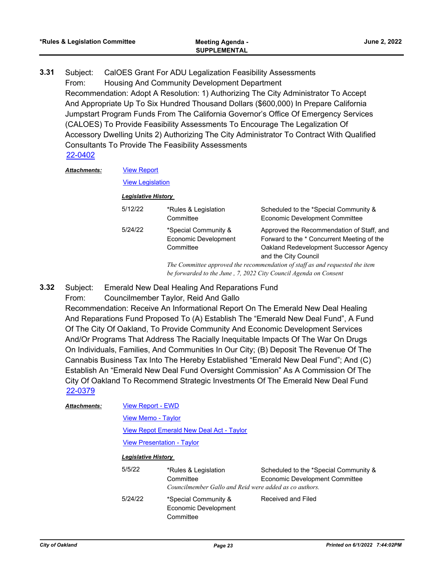Subject: CalOES Grant For ADU Legalization Feasibility Assessments From: Housing And Community Development Department Recommendation: Adopt A Resolution: 1) Authorizing The City Administrator To Accept And Appropriate Up To Six Hundred Thousand Dollars (\$600,000) In Prepare California Jumpstart Program Funds From The California Governor's Office Of Emergency Services (CALOES) To Provide Feasibility Assessments To Encourage The Legalization Of Accessory Dwelling Units 2) Authorizing The City Administrator To Contract With Qualified Consultants To Provide The Feasibility Assessments **3.31** [22-0402](http://oakland.legistar.com/gateway.aspx?m=l&id=/matter.aspx?key=33323)

#### [View Report](http://oakland.legistar.com/gateway.aspx?M=F&ID=c19011a7-d783-449c-b3ef-2ce315ed2230.pdf) *Attachments:*

[View Legislation](http://oakland.legistar.com/gateway.aspx?M=F&ID=d66e2782-bd77-4675-b9d9-623a99a77dd1.pdf)

### *Legislative History*

| 5/12/22 | *Rules & Legislation<br>Committee                                            | Scheduled to the *Special Community &<br><b>Economic Development Committee</b>                                                                            |  |
|---------|------------------------------------------------------------------------------|-----------------------------------------------------------------------------------------------------------------------------------------------------------|--|
| 5/24/22 | *Special Community &<br><b>Economic Development</b><br>Committee             | Approved the Recommendation of Staff, and<br>Forward to the * Concurrent Meeting of the<br>Oakland Redevelopment Successor Agency<br>and the City Council |  |
|         | The Committee approved the recommendation of staff as and requested the item |                                                                                                                                                           |  |
|         |                                                                              | be forwarded to the June, 7, 2022 City Council Agenda on Consent                                                                                          |  |

Subject: Emerald New Deal Healing And Reparations Fund **3.32**

From: Councilmember Taylor, Reid And Gallo

Recommendation: Receive An Informational Report On The Emerald New Deal Healing And Reparations Fund Proposed To (A) Establish The "Emerald New Deal Fund", A Fund Of The City Of Oakland, To Provide Community And Economic Development Services And/Or Programs That Address The Racially Inequitable Impacts Of The War On Drugs On Individuals, Families, And Communities In Our City; (B) Deposit The Revenue Of The Cannabis Business Tax Into The Hereby Established "Emerald New Deal Fund"; And (C) Establish An "Emerald New Deal Fund Oversight Commission" As A Commission Of The City Of Oakland To Recommend Strategic Investments Of The Emerald New Deal Fund [22-0379](http://oakland.legistar.com/gateway.aspx?m=l&id=/matter.aspx?key=33300)

## [View Report - EWD](http://oakland.legistar.com/gateway.aspx?M=F&ID=9310eebf-4752-49d3-99d4-4594772988a2.pdf) [View Memo - Taylor](http://oakland.legistar.com/gateway.aspx?M=F&ID=0a8292a9-aa80-44b0-b516-43ad147e1cf3.pdf) [View Repot Emerald New Deal Act - Taylor](http://oakland.legistar.com/gateway.aspx?M=F&ID=0005a6da-0ed8-4581-916a-ca8a36232637.pdf) [View Presentation - Taylor](http://oakland.legistar.com/gateway.aspx?M=F&ID=07acbf8a-1cfd-4d89-90a4-25b24900b8c8.pdf) *Attachments: Legislative History*  5/5/22 \*Rules & Legislation **Committee** Scheduled to the \*Special Community & Economic Development Committee *Councilmember Gallo and Reid were added as co authors.* 5/24/22 \*Special Community & Economic Development **Committee** Received and Filed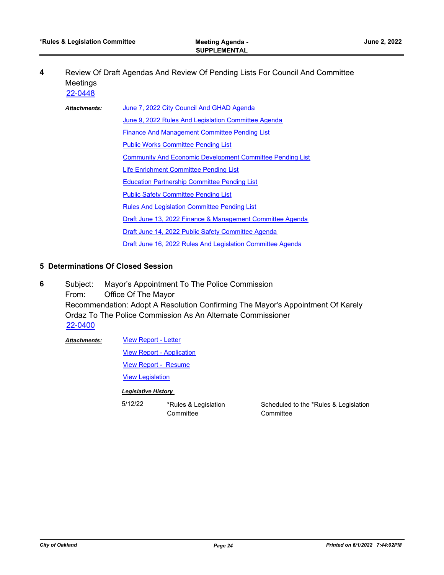Review Of Draft Agendas And Review Of Pending Lists For Council And Committee Meetings **4** [22-0448](http://oakland.legistar.com/gateway.aspx?m=l&id=/matter.aspx?key=33369)

| <b>Attachments:</b> | June 7, 2022 City Council And GHAD Agenda                        |  |  |
|---------------------|------------------------------------------------------------------|--|--|
|                     | June 9, 2022 Rules And Legislation Committee Agenda              |  |  |
|                     | <b>Finance And Management Committee Pending List</b>             |  |  |
|                     | <b>Public Works Committee Pending List</b>                       |  |  |
|                     | <b>Community And Economic Development Committee Pending List</b> |  |  |
|                     | Life Enrichment Committee Pending List                           |  |  |
|                     | <b>Education Partnership Committee Pending List</b>              |  |  |
|                     | <b>Public Safety Committee Pending List</b>                      |  |  |
|                     | <b>Rules And Legislation Committee Pending List</b>              |  |  |
|                     | Draft June 13, 2022 Finance & Management Committee Agenda        |  |  |
|                     | Draft June 14, 2022 Public Safety Committee Agenda               |  |  |
|                     | Draft June 16, 2022 Rules And Legislation Committee Agenda       |  |  |

# **5 Determinations Of Closed Session**

Subject: Mayor's Appointment To The Police Commission From: Office Of The Mayor Recommendation: Adopt A Resolution Confirming The Mayor's Appointment Of Karely Ordaz To The Police Commission As An Alternate Commissioner **6** [22-0400](http://oakland.legistar.com/gateway.aspx?m=l&id=/matter.aspx?key=33321)

[View Report - Letter](http://oakland.legistar.com/gateway.aspx?M=F&ID=3914d04e-4dce-4549-b767-c8d475932e73.pdf) *Attachments:*

[View Report - Application](http://oakland.legistar.com/gateway.aspx?M=F&ID=410f3111-2f99-4f81-b1b2-6a4755f1a2ef.pdf)

[View Report - Resume](http://oakland.legistar.com/gateway.aspx?M=F&ID=726b0b10-11e8-4ff5-b38c-17c2e250fafc.pdf)

[View Legislation](http://oakland.legistar.com/gateway.aspx?M=F&ID=8b8f79a9-1ec4-4469-b6c4-275d75b4fd22.pdf)

*Legislative History* 

5/12/22 \*Rules & Legislation **Committee** 

Scheduled to the \*Rules & Legislation **Committee**